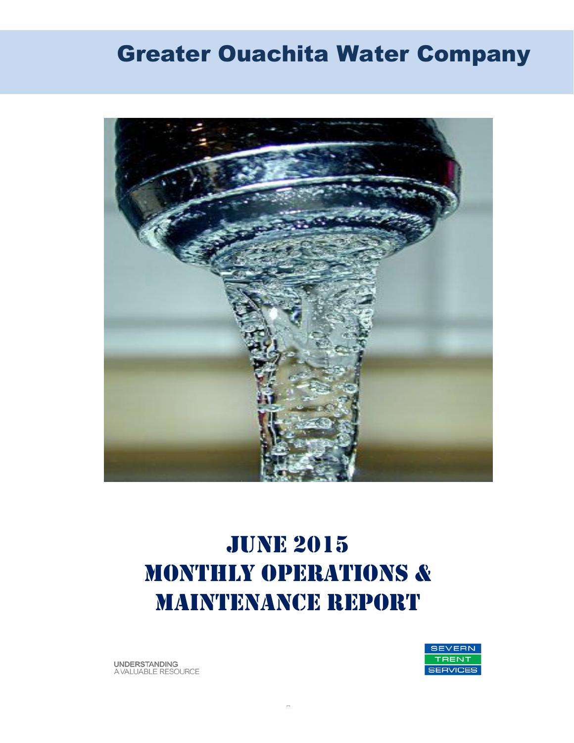# Greater Ouachita Water Company



# **JUNE 2015** MONTHLY OPERATIONS & MAINTENANCE REPORT

**UNDERSTANDING** A VALUABLE RESOURCE

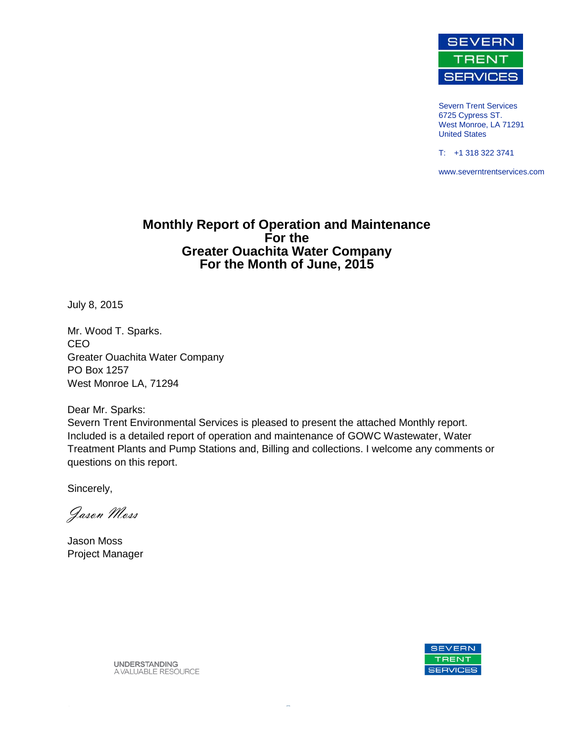

Severn Trent Services 6725 Cypress ST. West Monroe, LA 71291 United States

T: +1 318 322 3741

www.severntrentservices.com

#### **Monthly Report of Operation and Maintenance For the Greater Ouachita Water Company For the Month of June, 2015**

July 8, 2015

Mr. Wood T. Sparks. CEO Greater Ouachita Water Company PO Box 1257 West Monroe LA, 71294

Dear Mr. Sparks:

Severn Trent Environmental Services is pleased to present the attached Monthly report. Included is a detailed report of operation and maintenance of GOWC Wastewater, Water Treatment Plants and Pump Stations and, Billing and collections. I welcome any comments or questions on this report.

Sincerely,

Jason Moss

Jason Moss Project Manager



**UNDERSTANDING** A VALUABLE RESOURCE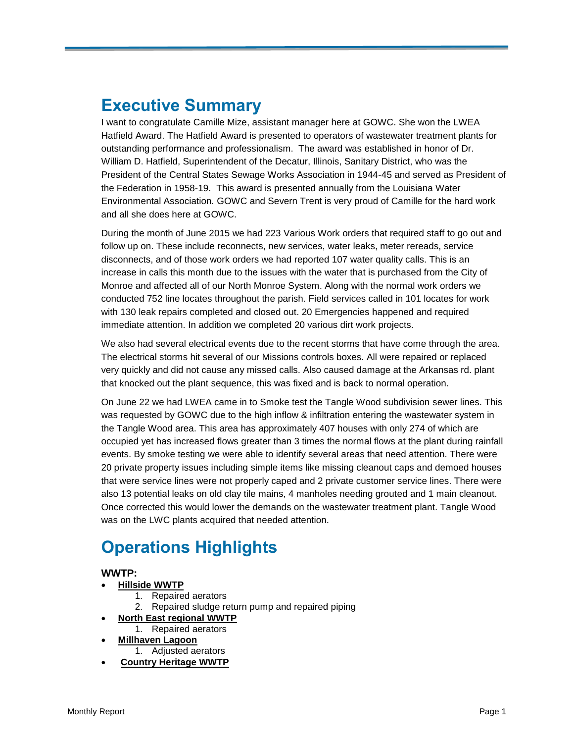## **Executive Summary**

I want to congratulate Camille Mize, assistant manager here at GOWC. She won the LWEA Hatfield Award. The Hatfield Award is presented to operators of wastewater treatment plants for outstanding performance and professionalism. The award was established in honor of Dr. William D. Hatfield, Superintendent of the Decatur, Illinois, Sanitary District, who was the President of the Central States Sewage Works Association in 1944-45 and served as President of the Federation in 1958-19. This award is presented annually from the Louisiana Water Environmental Association. GOWC and Severn Trent is very proud of Camille for the hard work and all she does here at GOWC.

During the month of June 2015 we had 223 Various Work orders that required staff to go out and follow up on. These include reconnects, new services, water leaks, meter rereads, service disconnects, and of those work orders we had reported 107 water quality calls. This is an increase in calls this month due to the issues with the water that is purchased from the City of Monroe and affected all of our North Monroe System. Along with the normal work orders we conducted 752 line locates throughout the parish. Field services called in 101 locates for work with 130 leak repairs completed and closed out. 20 Emergencies happened and required immediate attention. In addition we completed 20 various dirt work projects.

We also had several electrical events due to the recent storms that have come through the area. The electrical storms hit several of our Missions controls boxes. All were repaired or replaced very quickly and did not cause any missed calls. Also caused damage at the Arkansas rd. plant that knocked out the plant sequence, this was fixed and is back to normal operation.

On June 22 we had LWEA came in to Smoke test the Tangle Wood subdivision sewer lines. This was requested by GOWC due to the high inflow & infiltration entering the wastewater system in the Tangle Wood area. This area has approximately 407 houses with only 274 of which are occupied yet has increased flows greater than 3 times the normal flows at the plant during rainfall events. By smoke testing we were able to identify several areas that need attention. There were 20 private property issues including simple items like missing cleanout caps and demoed houses that were service lines were not properly caped and 2 private customer service lines. There were also 13 potential leaks on old clay tile mains, 4 manholes needing grouted and 1 main cleanout. Once corrected this would lower the demands on the wastewater treatment plant. Tangle Wood was on the LWC plants acquired that needed attention.

## **Operations Highlights**

#### **WWTP:**

- **Hillside WWTP** 
	- 1. Repaired aerators
	- 2. Repaired sludge return pump and repaired piping
	- **North East regional WWTP**
- 1. Repaired aerators
- **Millhaven Lagoon** 1. Adjusted aerators
- **Country Heritage WWTP**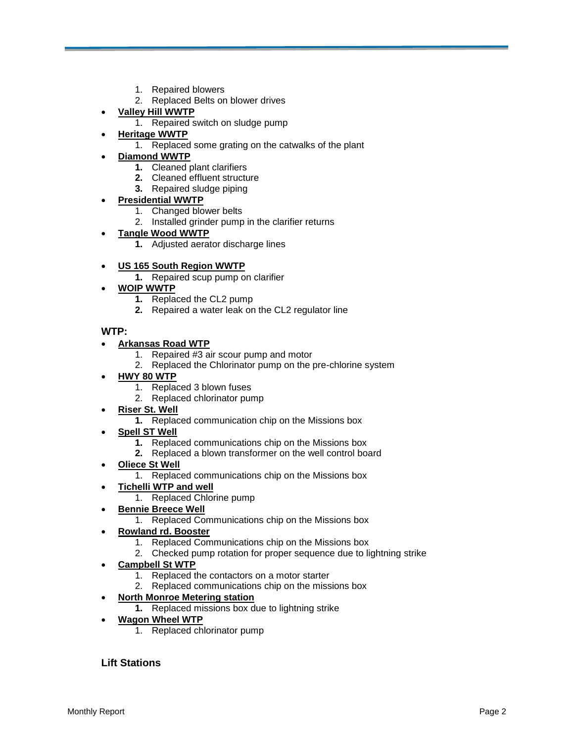- 1. Repaired blowers
- 2. Replaced Belts on blower drives
- **Valley Hill WWTP**
	- 1. Repaired switch on sludge pump
- **Heritage WWTP**
	- 1. Replaced some grating on the catwalks of the plant

#### **Diamond WWTP**

- **1.** Cleaned plant clarifiers
- **2.** Cleaned effluent structure
- **3.** Repaired sludge piping

#### **Presidential WWTP**

- 1. Changed blower belts
- 2. Installed grinder pump in the clarifier returns
- **Tangle Wood WWTP**
	- **1.** Adjusted aerator discharge lines
- **US 165 South Region WWTP**
	- **1.** Repaired scup pump on clarifier
- **WOIP WWTP**
	- **1.** Replaced the CL2 pump
	- **2.** Repaired a water leak on the CL2 regulator line

#### **WTP:**

#### **Arkansas Road WTP**

- 1. Repaired #3 air scour pump and motor
- 2. Replaced the Chlorinator pump on the pre-chlorine system
- **HWY 80 WTP**
	- 1. Replaced 3 blown fuses
	- 2. Replaced chlorinator pump
- **Riser St. Well**
	- **1.** Replaced communication chip on the Missions box
- **Spell ST Well**
	- **1.** Replaced communications chip on the Missions box
	- **2.** Replaced a blown transformer on the well control board
- **Oliece St Well**
	- 1. Replaced communications chip on the Missions box
- **Tichelli WTP and well**
	- 1. Replaced Chlorine pump
- **Bennie Breece Well**
	- 1. Replaced Communications chip on the Missions box

#### **Rowland rd. Booster**

- 1. Replaced Communications chip on the Missions box
- 2. Checked pump rotation for proper sequence due to lightning strike
- **Campbell St WTP**
	- 1. Replaced the contactors on a motor starter
	- 2. Replaced communications chip on the missions box

#### **North Monroe Metering station**

- **1.** Replaced missions box due to lightning strike
- **Wagon Wheel WTP**
	- 1. Replaced chlorinator pump

#### **Lift Stations**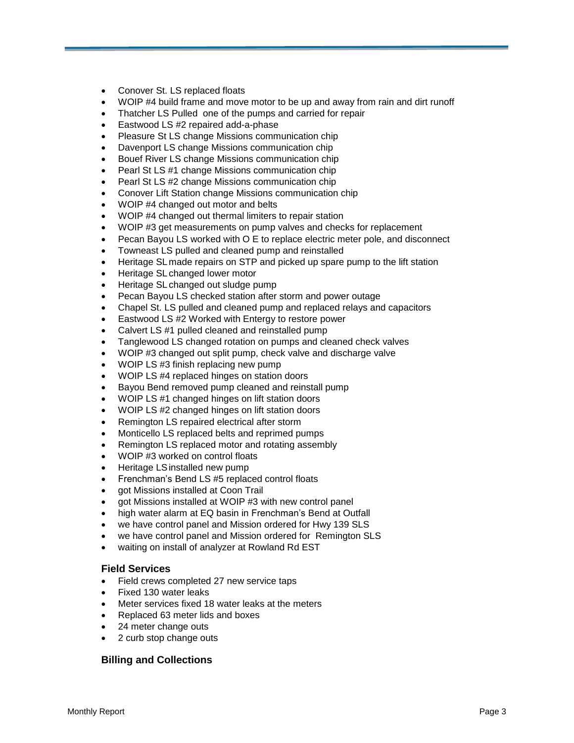- Conover St. LS replaced floats
- WOIP #4 build frame and move motor to be up and away from rain and dirt runoff
- Thatcher LS Pulled one of the pumps and carried for repair
- Eastwood LS #2 repaired add-a-phase
- Pleasure St LS change Missions communication chip
- Davenport LS change Missions communication chip
- Bouef River LS change Missions communication chip
- Pearl St LS #1 change Missions communication chip
- Pearl St LS #2 change Missions communication chip
- Conover Lift Station change Missions communication chip
- WOIP #4 changed out motor and belts
- WOIP #4 changed out thermal limiters to repair station
- WOIP #3 get measurements on pump valves and checks for replacement
- Pecan Bayou LS worked with O E to replace electric meter pole, and disconnect
- Towneast LS pulled and cleaned pump and reinstalled
- Heritage SLmade repairs on STP and picked up spare pump to the lift station
- Heritage SL changed lower motor
- Heritage SLchanged out sludge pump
- Pecan Bayou LS checked station after storm and power outage
- Chapel St. LS pulled and cleaned pump and replaced relays and capacitors
- Eastwood LS #2 Worked with Entergy to restore power
- Calvert LS #1 pulled cleaned and reinstalled pump
- Tanglewood LS changed rotation on pumps and cleaned check valves
- WOIP #3 changed out split pump, check valve and discharge valve
- WOIP LS #3 finish replacing new pump
- WOIP LS #4 replaced hinges on station doors
- Bayou Bend removed pump cleaned and reinstall pump
- WOIP LS #1 changed hinges on lift station doors
- WOIP LS #2 changed hinges on lift station doors
- Remington LS repaired electrical after storm
- Monticello LS replaced belts and reprimed pumps
- Remington LS replaced motor and rotating assembly
- WOIP #3 worked on control floats
- Heritage LSinstalled new pump
- Frenchman's Bend LS #5 replaced control floats
- got Missions installed at Coon Trail
- got Missions installed at WOIP #3 with new control panel
- high water alarm at EQ basin in Frenchman's Bend at Outfall
- we have control panel and Mission ordered for Hwy 139 SLS
- we have control panel and Mission ordered for Remington SLS
- waiting on install of analyzer at Rowland Rd EST

#### **Field Services**

- Field crews completed 27 new service taps
- Fixed 130 water leaks
- Meter services fixed 18 water leaks at the meters
- Replaced 63 meter lids and boxes
- 24 meter change outs
- 2 curb stop change outs

#### **Billing and Collections**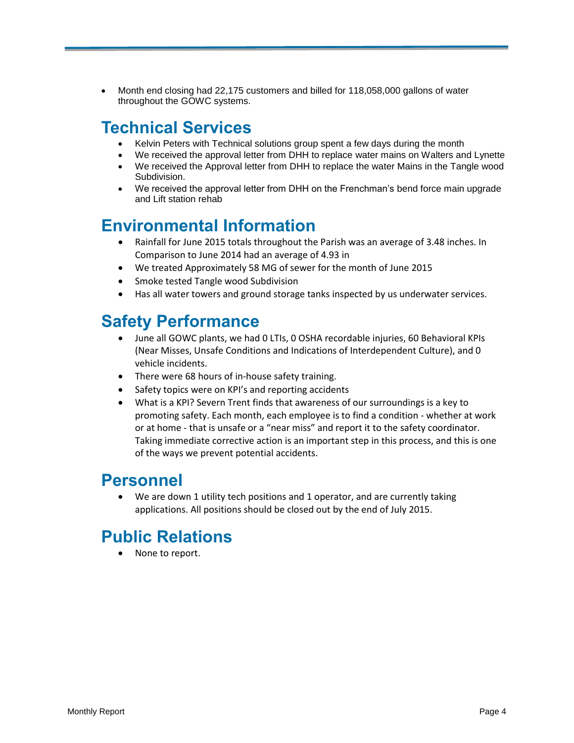Month end closing had 22,175 customers and billed for 118,058,000 gallons of water throughout the GOWC systems.

## **Technical Services**

- Kelvin Peters with Technical solutions group spent a few days during the month
- We received the approval letter from DHH to replace water mains on Walters and Lynette
- We received the Approval letter from DHH to replace the water Mains in the Tangle wood Subdivision.
- We received the approval letter from DHH on the Frenchman's bend force main upgrade and Lift station rehab

### **Environmental Information**

- Rainfall for June 2015 totals throughout the Parish was an average of 3.48 inches. In Comparison to June 2014 had an average of 4.93 in
- We treated Approximately 58 MG of sewer for the month of June 2015
- Smoke tested Tangle wood Subdivision
- Has all water towers and ground storage tanks inspected by us underwater services.

## **Safety Performance**

- June all GOWC plants, we had 0 LTIs, 0 OSHA recordable injuries, 60 Behavioral KPIs (Near Misses, Unsafe Conditions and Indications of Interdependent Culture), and 0 vehicle incidents.
- There were 68 hours of in-house safety training.
- Safety topics were on KPI's and reporting accidents
- What is a KPI? Severn Trent finds that awareness of our surroundings is a key to promoting safety. Each month, each employee is to find a condition - whether at work or at home - that is unsafe or a "near miss" and report it to the safety coordinator. Taking immediate corrective action is an important step in this process, and this is one of the ways we prevent potential accidents.

### **Personnel**

We are down 1 utility tech positions and 1 operator, and are currently taking applications. All positions should be closed out by the end of July 2015.

## **Public Relations**

None to report.